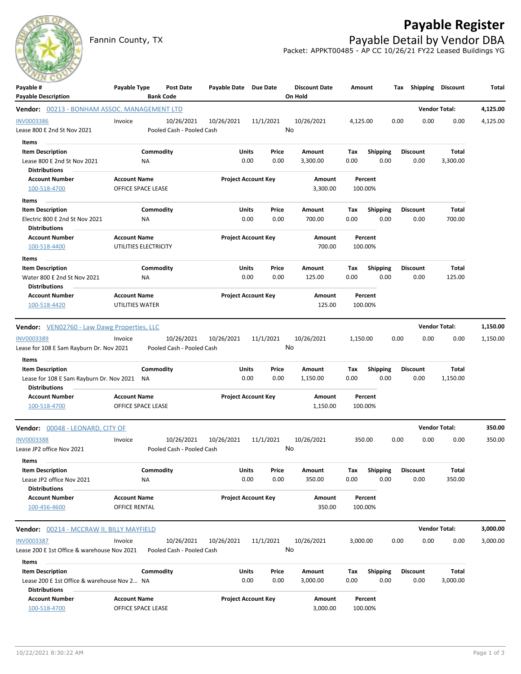

## **Payable Register**

Fannin County, TX **Payable Detail by Vendor DBA** Packet: APPKT00485 - AP CC 10/26/21 FY22 Leased Buildings YG

| $\sim$<br>Payable #                                    | Payable Type                              | <b>Post Date</b>          | Payable Date Due Date      |                            |        | <b>Discount Date</b> | Amount   |                    |      | Tax Shipping Discount |              | Total    |
|--------------------------------------------------------|-------------------------------------------|---------------------------|----------------------------|----------------------------|--------|----------------------|----------|--------------------|------|-----------------------|--------------|----------|
| <b>Payable Description</b>                             |                                           | <b>Bank Code</b>          |                            |                            |        | On Hold              |          |                    |      |                       |              |          |
| Vendor: 00213 - BONHAM ASSOC. MANAGEMENT LTD           |                                           |                           |                            |                            |        |                      |          |                    |      | <b>Vendor Total:</b>  |              | 4,125.00 |
| <b>INV0003386</b>                                      | Invoice                                   | 10/26/2021                | 10/26/2021                 | 11/1/2021                  |        | 10/26/2021           | 4,125.00 |                    | 0.00 | 0.00                  | 0.00         | 4,125.00 |
| Lease 800 E 2nd St Nov 2021                            |                                           | Pooled Cash - Pooled Cash |                            |                            | No     |                      |          |                    |      |                       |              |          |
| Items                                                  |                                           |                           |                            |                            |        |                      |          |                    |      |                       |              |          |
| <b>Item Description</b>                                |                                           | Commodity                 | Units                      | Price                      |        | Amount               | Тах      | <b>Shipping</b>    |      | <b>Discount</b>       | Total        |          |
| Lease 800 E 2nd St Nov 2021                            | ΝA                                        |                           |                            | 0.00                       | 0.00   | 3,300.00             | 0.00     | 0.00               |      | 0.00                  | 3,300.00     |          |
| <b>Distributions</b>                                   |                                           |                           |                            |                            |        |                      |          |                    |      |                       |              |          |
| <b>Account Number</b><br>100-518-4700                  | <b>Account Name</b><br>OFFICE SPACE LEASE |                           |                            | <b>Project Account Key</b> |        | Amount<br>3,300.00   |          | Percent<br>100.00% |      |                       |              |          |
| Items                                                  |                                           |                           |                            |                            |        |                      |          |                    |      |                       |              |          |
| <b>Item Description</b>                                |                                           | Commodity                 | Units                      | Price                      |        | Amount               | Tax      | <b>Shipping</b>    |      | <b>Discount</b>       | <b>Total</b> |          |
| Electric 800 E 2nd St Nov 2021<br><b>Distributions</b> | ΝA                                        |                           |                            | 0.00                       | 0.00   | 700.00               | 0.00     | 0.00               |      | 0.00                  | 700.00       |          |
| <b>Account Number</b>                                  | <b>Account Name</b>                       |                           | <b>Project Account Key</b> |                            | Amount | Percent              |          |                    |      |                       |              |          |
| 100-518-4400                                           | UTILITIES ELECTRICITY                     |                           |                            |                            |        | 700.00               |          | 100.00%            |      |                       |              |          |
| Items                                                  |                                           |                           |                            |                            |        |                      |          |                    |      |                       |              |          |
| <b>Item Description</b>                                |                                           | Commodity                 | Units                      | Price                      |        | Amount               | Tax      | <b>Shipping</b>    |      | <b>Discount</b>       | Total        |          |
| Water 800 E 2nd St Nov 2021                            | ΝA                                        |                           |                            | 0.00                       | 0.00   | 125.00               | 0.00     | 0.00               |      | 0.00                  | 125.00       |          |
| <b>Distributions</b>                                   |                                           |                           |                            |                            |        |                      |          |                    |      |                       |              |          |
| <b>Account Number</b>                                  | <b>Account Name</b>                       |                           |                            | <b>Project Account Key</b> |        | Amount               |          | Percent            |      |                       |              |          |
| 100-518-4420                                           | UTILITIES WATER                           |                           |                            |                            |        | 125.00               |          | 100.00%            |      |                       |              |          |
| <b>Vendor:</b> VEN02760 - Law Dawg Properties, LLC     |                                           |                           |                            |                            |        |                      |          |                    |      | <b>Vendor Total:</b>  |              | 1,150.00 |
| INV0003389                                             | Invoice                                   | 10/26/2021                | 10/26/2021                 | 11/1/2021                  |        | 10/26/2021           | 1,150.00 |                    | 0.00 | 0.00                  | 0.00         | 1,150.00 |
| Lease for 108 E Sam Rayburn Dr. Nov 2021               |                                           | Pooled Cash - Pooled Cash |                            |                            | No     |                      |          |                    |      |                       |              |          |
| Items                                                  |                                           |                           |                            |                            |        |                      |          |                    |      |                       |              |          |
| <b>Item Description</b>                                |                                           | Commodity                 | Units                      | Price                      |        | Amount               | Tax      | <b>Shipping</b>    |      | <b>Discount</b>       | Total        |          |
| Lease for 108 E Sam Rayburn Dr. Nov 2021               | NA                                        |                           |                            | 0.00                       | 0.00   | 1,150.00             | 0.00     | 0.00               |      | 0.00                  | 1,150.00     |          |
| <b>Distributions</b>                                   |                                           |                           |                            |                            |        |                      |          |                    |      |                       |              |          |
| <b>Account Number</b>                                  | <b>Account Name</b>                       |                           |                            | <b>Project Account Key</b> |        | Amount               |          | Percent            |      |                       |              |          |
| 100-518-4700                                           | OFFICE SPACE LEASE                        |                           |                            |                            |        | 1,150.00             |          | 100.00%            |      |                       |              |          |
| Vendor: 00048 - LEONARD, CITY OF                       |                                           |                           |                            |                            |        |                      |          |                    |      | <b>Vendor Total:</b>  |              | 350.00   |
| <b>INV0003388</b>                                      | Invoice                                   | 10/26/2021                | 10/26/2021                 | 11/1/2021                  |        | 10/26/2021           |          | 350.00             | 0.00 | 0.00                  | 0.00         | 350.00   |
| Lease JP2 office Nov 2021                              |                                           | Pooled Cash - Pooled Cash |                            |                            | No     |                      |          |                    |      |                       |              |          |
| Items                                                  |                                           |                           |                            |                            |        |                      |          |                    |      |                       |              |          |
| <b>Item Description</b>                                |                                           | Commodity                 | Units                      | Price                      |        | Amount               | Tax      | <b>Shipping</b>    |      | <b>Discount</b>       | Total        |          |
| Lease JP2 office Nov 2021                              | NA                                        |                           |                            | 0.00                       | 0.00   | 350.00               | 0.00     | 0.00               |      | 0.00                  | 350.00       |          |
| <b>Distributions</b>                                   |                                           |                           |                            |                            |        |                      |          |                    |      |                       |              |          |
| <b>Account Number</b>                                  | <b>Account Name</b>                       |                           |                            | <b>Project Account Key</b> |        | Amount               |          | Percent            |      |                       |              |          |
| 100-456-4600                                           | OFFICE RENTAL                             |                           |                            |                            |        | 350.00               |          | 100.00%            |      |                       |              |          |
| Vendor: 00214 - MCCRAW II, BILLY MAYFIELD              |                                           |                           |                            |                            |        |                      |          |                    |      | <b>Vendor Total:</b>  |              | 3,000.00 |
| <b>INV0003387</b>                                      | Invoice                                   | 10/26/2021                | 10/26/2021                 | 11/1/2021                  |        | 10/26/2021           | 3,000.00 |                    | 0.00 | 0.00                  | 0.00         | 3,000.00 |
| Lease 200 E 1st Office & warehouse Nov 2021            |                                           | Pooled Cash - Pooled Cash |                            |                            | No     |                      |          |                    |      |                       |              |          |
| Items                                                  |                                           |                           |                            |                            |        |                      |          |                    |      |                       |              |          |
| <b>Item Description</b>                                |                                           | Commodity                 | Units                      | Price                      |        | Amount               | Tax      | Shipping           |      | <b>Discount</b>       | Total        |          |
| Lease 200 E 1st Office & warehouse Nov 2 NA            |                                           |                           |                            | 0.00                       | 0.00   | 3,000.00             | 0.00     | 0.00               |      | 0.00                  | 3,000.00     |          |
| <b>Distributions</b>                                   |                                           |                           |                            |                            |        |                      |          |                    |      |                       |              |          |
| <b>Account Number</b>                                  | <b>Account Name</b>                       |                           |                            | <b>Project Account Key</b> |        | Amount               |          | Percent            |      |                       |              |          |
| 100-518-4700                                           | OFFICE SPACE LEASE                        |                           |                            |                            |        | 3,000.00             |          | 100.00%            |      |                       |              |          |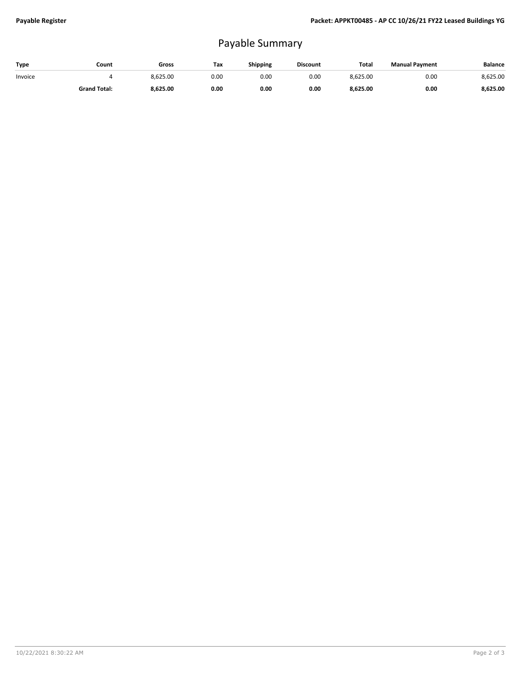## Payable Summary

| Type    | Count               | Gross    | Tax  | Shipping | <b>Discount</b> | Total    | <b>Manual Payment</b> | <b>Balance</b> |
|---------|---------------------|----------|------|----------|-----------------|----------|-----------------------|----------------|
| Invoice |                     | 8.625.00 | 0.00 | 0.00     | 0.00            | 8.625.00 | 0.00                  | 8,625.00       |
|         | <b>Grand Total:</b> | 8,625.00 | 0.00 | 0.00     | 0.00            | 8,625.00 | 0.00                  | 8.625.00       |